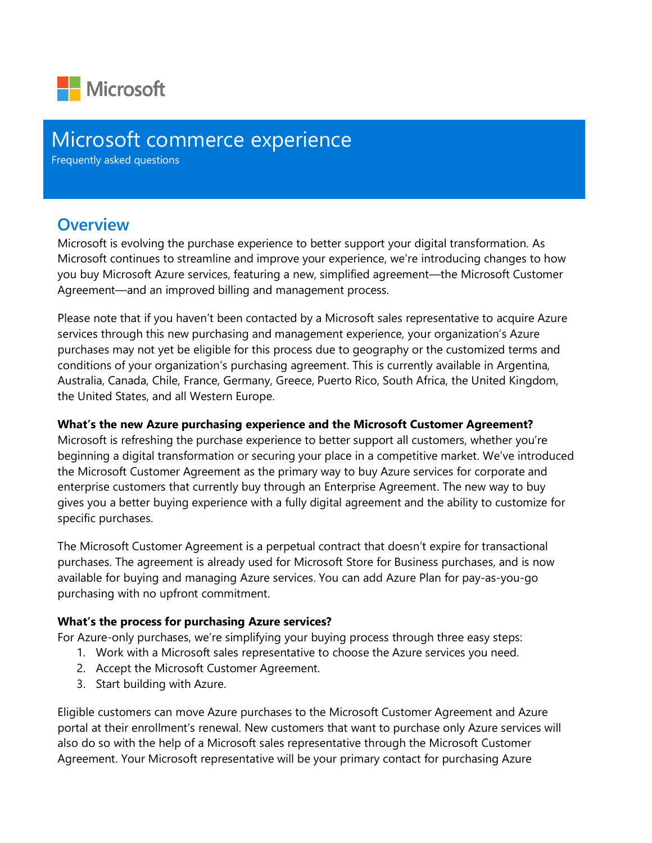

## Microsoft commerce experience

Frequently asked questions

### **Overview**

Microsoft is evolving the purchase experience to better support your digital transformation. As Microsoft continues to streamline and improve your experience, we're introducing changes to how you buy Microsoft Azure services, featuring a new, simplified agreement—the Microsoft Customer Agreement—and an improved billing and management process.

Please note that if you haven't been contacted by a Microsoft sales representative to acquire Azure services through this new purchasing and management experience, your organization's Azure purchases may not yet be eligible for this process due to geography or the customized terms and conditions of your organization's purchasing agreement. This is currently available in Argentina, Australia, Canada, Chile, France, Germany, Greece, Puerto Rico, South Africa, the United Kingdom, the United States, and all Western Europe.

#### **What's the new Azure purchasing experience and the Microsoft Customer Agreement?**

Microsoft is refreshing the purchase experience to better support all customers, whether you're beginning a digital transformation or securing your place in a competitive market. We've introduced the Microsoft Customer Agreement as the primary way to buy Azure services for corporate and enterprise customers that currently buy through an Enterprise Agreement. The new way to buy gives you a better buying experience with a fully digital agreement and the ability to customize for specific purchases.

The Microsoft Customer Agreement is a perpetual contract that doesn't expire for transactional purchases. The agreement is already used for Microsoft Store for Business purchases, and is now available for buying and managing Azure services. You can add Azure Plan for pay-as-you-go purchasing with no upfront commitment.

#### **What's the process for purchasing Azure services?**

For Azure-only purchases, we're simplifying your buying process through three easy steps:

- 1. Work with a Microsoft sales representative to choose the Azure services you need.
- 2. Accept the Microsoft Customer Agreement.
- 3. Start building with Azure.

Eligible customers can move Azure purchases to the Microsoft Customer Agreement and Azure portal at their enrollment's renewal. New customers that want to purchase only Azure services will also do so with the help of a Microsoft sales representative through the Microsoft Customer Agreement. Your Microsoft representative will be your primary contact for purchasing Azure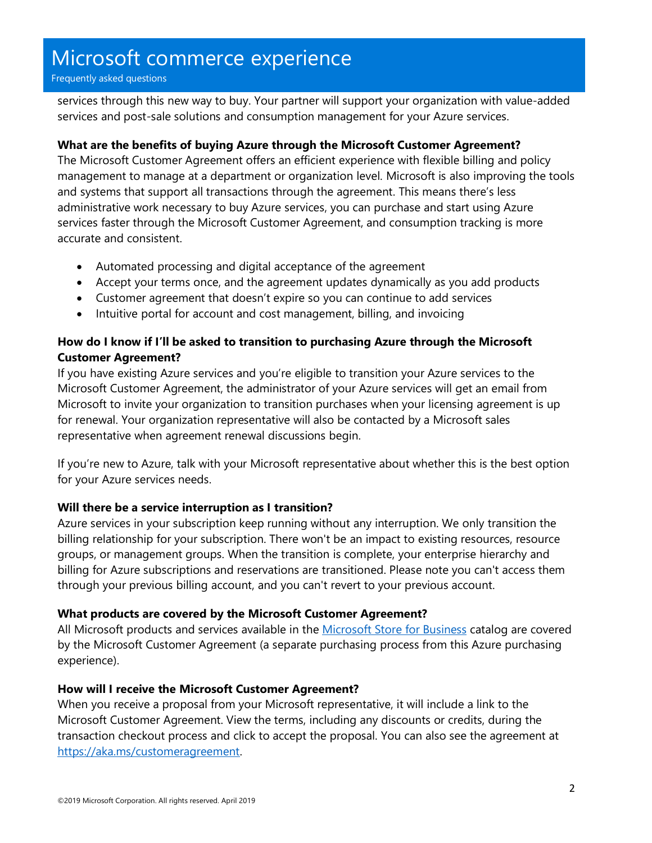# Microsoft commerce experience

Frequently asked questions

services through this new way to buy. Your partner will support your organization with value-added services and post-sale solutions and consumption management for your Azure services.

#### **What are the benefits of buying Azure through the Microsoft Customer Agreement?**

The Microsoft Customer Agreement offers an efficient experience with flexible billing and policy management to manage at a department or organization level. Microsoft is also improving the tools and systems that support all transactions through the agreement. This means there's less administrative work necessary to buy Azure services, you can purchase and start using Azure services faster through the Microsoft Customer Agreement, and consumption tracking is more accurate and consistent.

- Automated processing and digital acceptance of the agreement
- Accept your terms once, and the agreement updates dynamically as you add products
- Customer agreement that doesn't expire so you can continue to add services
- Intuitive portal for account and cost management, billing, and invoicing

#### **How do I know if I'll be asked to transition to purchasing Azure through the Microsoft Customer Agreement?**

If you have existing Azure services and you're eligible to transition your Azure services to the Microsoft Customer Agreement, the administrator of your Azure services will get an email from Microsoft to invite your organization to transition purchases when your licensing agreement is up for renewal. Your organization representative will also be contacted by a Microsoft sales representative when agreement renewal discussions begin.

If you're new to Azure, talk with your Microsoft representative about whether this is the best option for your Azure services needs.

#### **Will there be a service interruption as I transition?**

Azure services in your subscription keep running without any interruption. We only transition the billing relationship for your subscription. There won't be an impact to existing resources, resource groups, or management groups. When the transition is complete, your enterprise hierarchy and billing for Azure subscriptions and reservations are transitioned. Please note you can't access them through your previous billing account, and you can't revert to your previous account.

#### **What products are covered by the Microsoft Customer Agreement?**

All Microsoft products and services available in the [Microsoft Store for Business](https://businessstore.microsoft.com/) catalog are covered by the Microsoft Customer Agreement (a separate purchasing process from this Azure purchasing experience).

#### **How will I receive the Microsoft Customer Agreement?**

When you receive a proposal from your Microsoft representative, it will include a link to the Microsoft Customer Agreement. View the terms, including any discounts or credits, during the transaction checkout process and click to accept the proposal. You can also see the agreement at [https://aka.ms/customeragreement.](https://aka.ms/customeragreement)